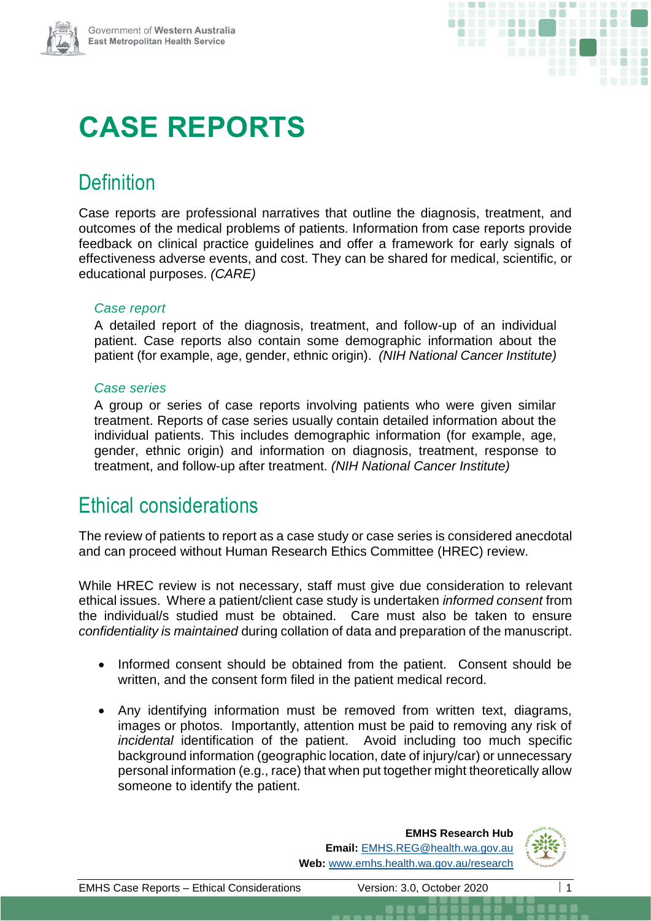

# **CASE REPORTS**

## **Definition**

Case reports are professional narratives that outline the diagnosis, treatment, and outcomes of the medical problems of patients. Information from case reports provide feedback on clinical practice guidelines and offer a framework for early signals of effectiveness adverse events, and cost. They can be shared for medical, scientific, or educational purposes. *(CARE)*

#### *Case report*

A detailed report of the diagnosis, treatment, and follow-up of an individual patient. Case reports also contain some demographic information about the patient (for example, age, gender, ethnic origin). *(NIH National Cancer Institute)*

#### *Case series*

A group or series of case reports involving patients who were given similar treatment. Reports of case series usually contain detailed information about the individual patients. This includes demographic information (for example, age, gender, ethnic origin) and information on diagnosis, treatment, response to treatment, and follow-up after treatment. *(NIH National Cancer Institute)*

### Ethical considerations

The review of patients to report as a case study or case series is considered anecdotal and can proceed without Human Research Ethics Committee (HREC) review.

While HREC review is not necessary, staff must give due consideration to relevant ethical issues. Where a patient/client case study is undertaken *informed consent* from the individual/s studied must be obtained. Care must also be taken to ensure *confidentiality is maintained* during collation of data and preparation of the manuscript.

- Informed consent should be obtained from the patient. Consent should be written, and the consent form filed in the patient medical record.
- Any identifying information must be removed from written text, diagrams, images or photos. Importantly, attention must be paid to removing any risk of *incidental* identification of the patient. Avoid including too much specific background information (geographic location, date of injury/car) or unnecessary personal information (e.g., race) that when put together might theoretically allow someone to identify the patient.

#### **EMHS Research Hub Email:** [EMHS.REG@health.wa.gov.au](mailto:SMHS.REG@health.wa.gov.au) **Web:** [www.emhs.health.wa.gov.au/research](http://www.emhs.health.wa.gov.au/research)